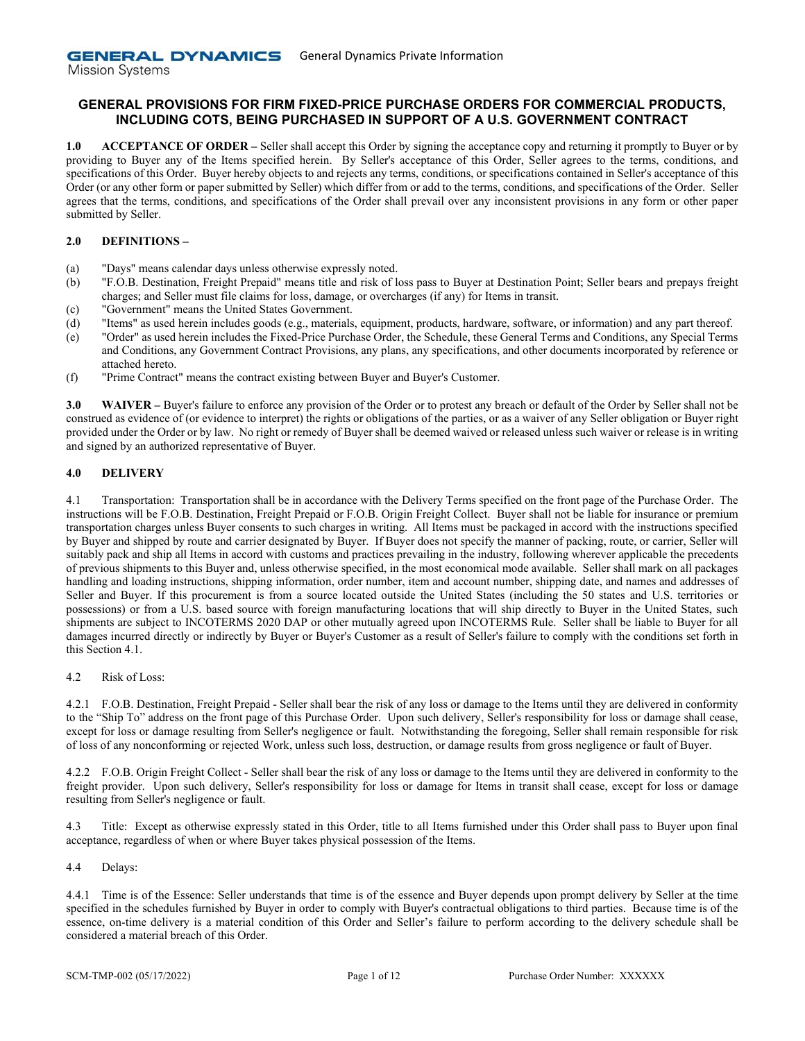# **Mission Systems**

## **GENERAL PROVISIONS FOR FIRM FIXED-PRICE PURCHASE ORDERS FOR COMMERCIAL PRODUCTS, INCLUDING COTS, BEING PURCHASED IN SUPPORT OF A U.S. GOVERNMENT CONTRACT**

**1.0 ACCEPTANCE OF ORDER** – Seller shall accept this Order by signing the acceptance copy and returning it promptly to Buyer or by providing to Buyer any of the Items specified herein. By Seller's acceptance of this Order, Seller agrees to the terms, conditions, and specifications of this Order. Buyer hereby objects to and rejects any terms, conditions, or specifications contained in Seller's acceptance of this Order (or any other form or paper submitted by Seller) which differ from or add to the terms, conditions, and specifications of the Order. Seller agrees that the terms, conditions, and specifications of the Order shall prevail over any inconsistent provisions in any form or other paper submitted by Seller.

#### **2.0 DEFINITIONS –**

- (a) "Days" means calendar days unless otherwise expressly noted.
- (b) "F.O.B. Destination, Freight Prepaid" means title and risk of loss pass to Buyer at Destination Point; Seller bears and prepays freight charges; and Seller must file claims for loss, damage, or overcharges (if any) for Items in transit.
- (c) "Government" means the United States Government.
- (d) "Items" as used herein includes goods (e.g., materials, equipment, products, hardware, software, or information) and any part thereof.
- (e) "Order" as used herein includes the Fixed-Price Purchase Order, the Schedule, these General Terms and Conditions, any Special Terms and Conditions, any Government Contract Provisions, any plans, any specifications, and other documents incorporated by reference or attached hereto.
- (f) "Prime Contract" means the contract existing between Buyer and Buyer's Customer.

**3.0 WAIVER –** Buyer's failure to enforce any provision of the Order or to protest any breach or default of the Order by Seller shall not be construed as evidence of (or evidence to interpret) the rights or obligations of the parties, or as a waiver of any Seller obligation or Buyer right provided under the Order or by law. No right or remedy of Buyer shall be deemed waived or released unless such waiver or release is in writing and signed by an authorized representative of Buyer.

#### **4.0 DELIVERY**

4.1 Transportation: Transportation shall be in accordance with the Delivery Terms specified on the front page of the Purchase Order. The instructions will be F.O.B. Destination, Freight Prepaid or F.O.B. Origin Freight Collect. Buyer shall not be liable for insurance or premium transportation charges unless Buyer consents to such charges in writing. All Items must be packaged in accord with the instructions specified by Buyer and shipped by route and carrier designated by Buyer. If Buyer does not specify the manner of packing, route, or carrier, Seller will suitably pack and ship all Items in accord with customs and practices prevailing in the industry, following wherever applicable the precedents of previous shipments to this Buyer and, unless otherwise specified, in the most economical mode available. Seller shall mark on all packages handling and loading instructions, shipping information, order number, item and account number, shipping date, and names and addresses of Seller and Buyer. If this procurement is from a source located outside the United States (including the 50 states and U.S. territories or possessions) or from a U.S. based source with foreign manufacturing locations that will ship directly to Buyer in the United States, such shipments are subject to INCOTERMS 2020 DAP or other mutually agreed upon INCOTERMS Rule. Seller shall be liable to Buyer for all damages incurred directly or indirectly by Buyer or Buyer's Customer as a result of Seller's failure to comply with the conditions set forth in this Section 4.1.

#### 4.2 Risk of Loss:

4.2.1 F.O.B. Destination, Freight Prepaid - Seller shall bear the risk of any loss or damage to the Items until they are delivered in conformity to the "Ship To" address on the front page of this Purchase Order. Upon such delivery, Seller's responsibility for loss or damage shall cease, except for loss or damage resulting from Seller's negligence or fault. Notwithstanding the foregoing, Seller shall remain responsible for risk of loss of any nonconforming or rejected Work, unless such loss, destruction, or damage results from gross negligence or fault of Buyer.

4.2.2 F.O.B. Origin Freight Collect - Seller shall bear the risk of any loss or damage to the Items until they are delivered in conformity to the freight provider. Upon such delivery, Seller's responsibility for loss or damage for Items in transit shall cease, except for loss or damage resulting from Seller's negligence or fault.

4.3 Title: Except as otherwise expressly stated in this Order, title to all Items furnished under this Order shall pass to Buyer upon final acceptance, regardless of when or where Buyer takes physical possession of the Items.

4.4 Delays:

4.4.1 Time is of the Essence: Seller understands that time is of the essence and Buyer depends upon prompt delivery by Seller at the time specified in the schedules furnished by Buyer in order to comply with Buyer's contractual obligations to third parties. Because time is of the essence, on-time delivery is a material condition of this Order and Seller's failure to perform according to the delivery schedule shall be considered a material breach of this Order.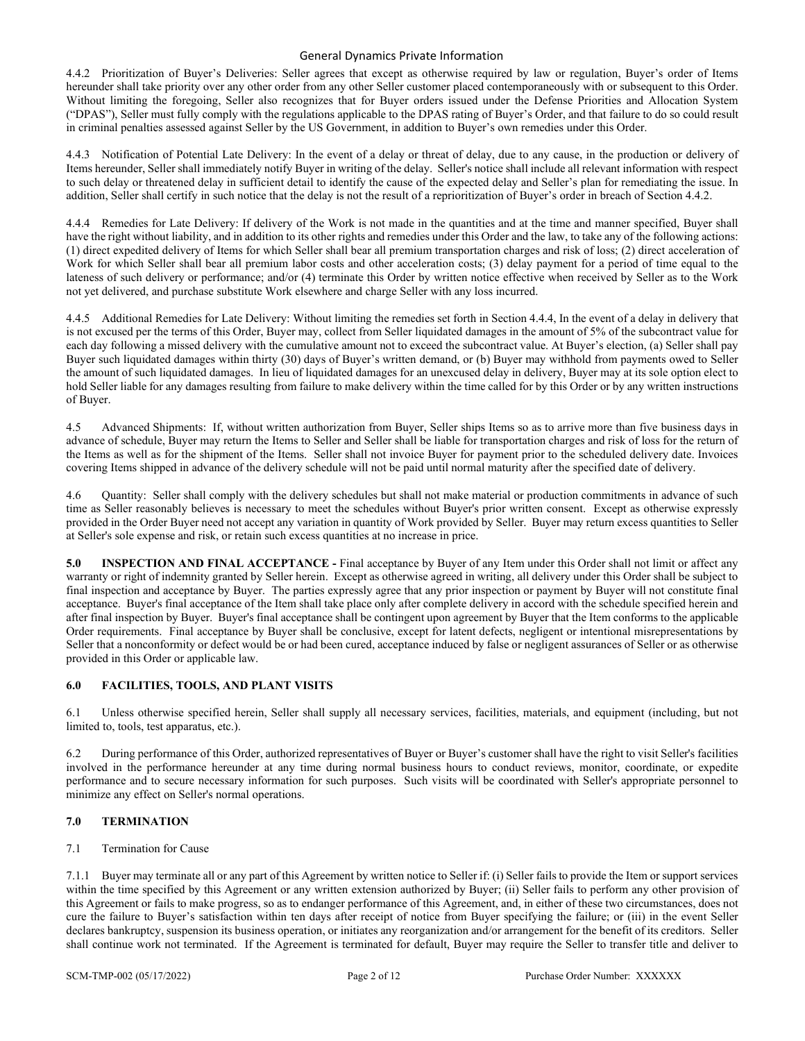4.4.2 Prioritization of Buyer's Deliveries: Seller agrees that except as otherwise required by law or regulation, Buyer's order of Items hereunder shall take priority over any other order from any other Seller customer placed contemporaneously with or subsequent to this Order. Without limiting the foregoing, Seller also recognizes that for Buyer orders issued under the Defense Priorities and Allocation System ("DPAS"), Seller must fully comply with the regulations applicable to the DPAS rating of Buyer's Order, and that failure to do so could result in criminal penalties assessed against Seller by the US Government, in addition to Buyer's own remedies under this Order.

4.4.3 Notification of Potential Late Delivery: In the event of a delay or threat of delay, due to any cause, in the production or delivery of Items hereunder, Seller shall immediately notify Buyer in writing of the delay. Seller's notice shall include all relevant information with respect to such delay or threatened delay in sufficient detail to identify the cause of the expected delay and Seller's plan for remediating the issue. In addition, Seller shall certify in such notice that the delay is not the result of a reprioritization of Buyer's order in breach of Section 4.4.2.

4.4.4 Remedies for Late Delivery: If delivery of the Work is not made in the quantities and at the time and manner specified, Buyer shall have the right without liability, and in addition to its other rights and remedies under this Order and the law, to take any of the following actions: (1) direct expedited delivery of Items for which Seller shall bear all premium transportation charges and risk of loss; (2) direct acceleration of Work for which Seller shall bear all premium labor costs and other acceleration costs; (3) delay payment for a period of time equal to the lateness of such delivery or performance; and/or (4) terminate this Order by written notice effective when received by Seller as to the Work not yet delivered, and purchase substitute Work elsewhere and charge Seller with any loss incurred.

4.4.5 Additional Remedies for Late Delivery: Without limiting the remedies set forth in Section 4.4.4, In the event of a delay in delivery that is not excused per the terms of this Order, Buyer may, collect from Seller liquidated damages in the amount of 5% of the subcontract value for each day following a missed delivery with the cumulative amount not to exceed the subcontract value. At Buyer's election, (a) Seller shall pay Buyer such liquidated damages within thirty (30) days of Buyer's written demand, or (b) Buyer may withhold from payments owed to Seller the amount of such liquidated damages. In lieu of liquidated damages for an unexcused delay in delivery, Buyer may at its sole option elect to hold Seller liable for any damages resulting from failure to make delivery within the time called for by this Order or by any written instructions of Buyer.

4.5 Advanced Shipments: If, without written authorization from Buyer, Seller ships Items so as to arrive more than five business days in advance of schedule, Buyer may return the Items to Seller and Seller shall be liable for transportation charges and risk of loss for the return of the Items as well as for the shipment of the Items. Seller shall not invoice Buyer for payment prior to the scheduled delivery date. Invoices covering Items shipped in advance of the delivery schedule will not be paid until normal maturity after the specified date of delivery.

4.6 Quantity: Seller shall comply with the delivery schedules but shall not make material or production commitments in advance of such time as Seller reasonably believes is necessary to meet the schedules without Buyer's prior written consent. Except as otherwise expressly provided in the Order Buyer need not accept any variation in quantity of Work provided by Seller. Buyer may return excess quantities to Seller at Seller's sole expense and risk, or retain such excess quantities at no increase in price.

**5.0 INSPECTION AND FINAL ACCEPTANCE -** Final acceptance by Buyer of any Item under this Order shall not limit or affect any warranty or right of indemnity granted by Seller herein. Except as otherwise agreed in writing, all delivery under this Order shall be subject to final inspection and acceptance by Buyer. The parties expressly agree that any prior inspection or payment by Buyer will not constitute final acceptance. Buyer's final acceptance of the Item shall take place only after complete delivery in accord with the schedule specified herein and after final inspection by Buyer. Buyer's final acceptance shall be contingent upon agreement by Buyer that the Item conforms to the applicable Order requirements. Final acceptance by Buyer shall be conclusive, except for latent defects, negligent or intentional misrepresentations by Seller that a nonconformity or defect would be or had been cured, acceptance induced by false or negligent assurances of Seller or as otherwise provided in this Order or applicable law.

## **6.0 FACILITIES, TOOLS, AND PLANT VISITS**

6.1 Unless otherwise specified herein, Seller shall supply all necessary services, facilities, materials, and equipment (including, but not limited to, tools, test apparatus, etc.).

6.2 During performance of this Order, authorized representatives of Buyer or Buyer's customer shall have the right to visit Seller's facilities involved in the performance hereunder at any time during normal business hours to conduct reviews, monitor, coordinate, or expedite performance and to secure necessary information for such purposes. Such visits will be coordinated with Seller's appropriate personnel to minimize any effect on Seller's normal operations.

## **7.0 TERMINATION**

## 7.1 Termination for Cause

7.1.1 Buyer may terminate all or any part of this Agreement by written notice to Seller if: (i) Seller fails to provide the Item or support services within the time specified by this Agreement or any written extension authorized by Buyer; (ii) Seller fails to perform any other provision of this Agreement or fails to make progress, so as to endanger performance of this Agreement, and, in either of these two circumstances, does not cure the failure to Buyer's satisfaction within ten days after receipt of notice from Buyer specifying the failure; or (iii) in the event Seller declares bankruptcy, suspension its business operation, or initiates any reorganization and/or arrangement for the benefit of its creditors. Seller shall continue work not terminated. If the Agreement is terminated for default, Buyer may require the Seller to transfer title and deliver to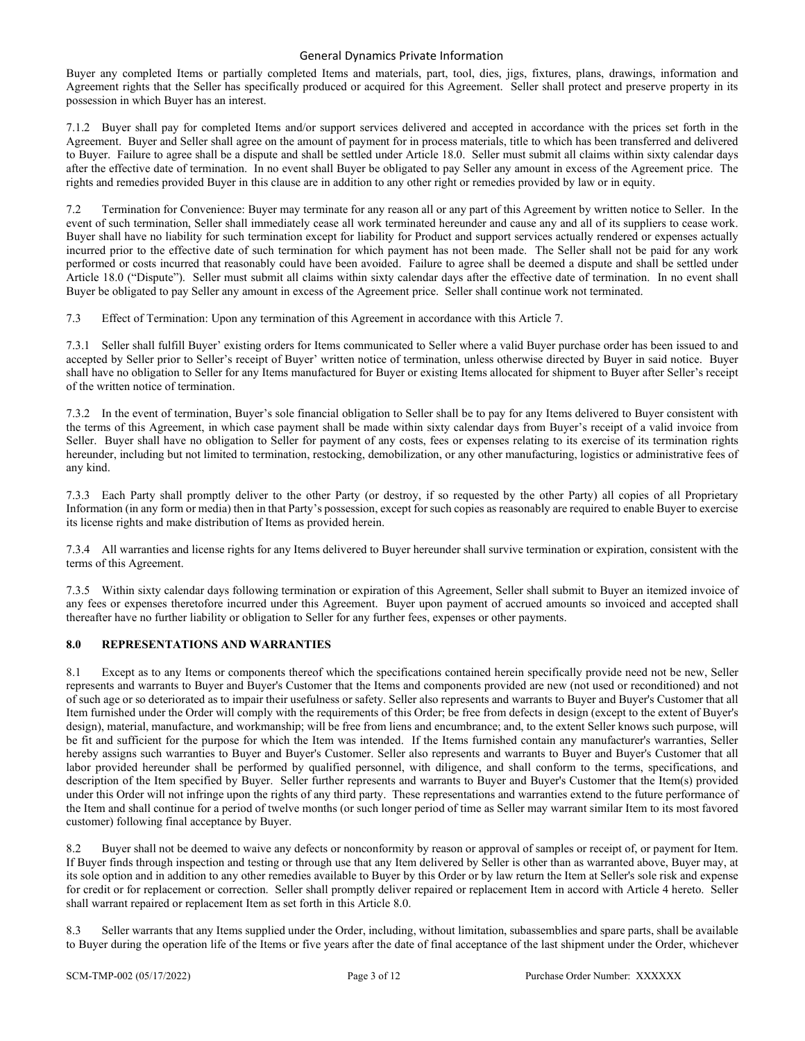Buyer any completed Items or partially completed Items and materials, part, tool, dies, jigs, fixtures, plans, drawings, information and Agreement rights that the Seller has specifically produced or acquired for this Agreement. Seller shall protect and preserve property in its possession in which Buyer has an interest.

7.1.2 Buyer shall pay for completed Items and/or support services delivered and accepted in accordance with the prices set forth in the Agreement. Buyer and Seller shall agree on the amount of payment for in process materials, title to which has been transferred and delivered to Buyer. Failure to agree shall be a dispute and shall be settled under Article 18.0. Seller must submit all claims within sixty calendar days after the effective date of termination. In no event shall Buyer be obligated to pay Seller any amount in excess of the Agreement price. The rights and remedies provided Buyer in this clause are in addition to any other right or remedies provided by law or in equity.

7.2 Termination for Convenience: Buyer may terminate for any reason all or any part of this Agreement by written notice to Seller. In the event of such termination, Seller shall immediately cease all work terminated hereunder and cause any and all of its suppliers to cease work. Buyer shall have no liability for such termination except for liability for Product and support services actually rendered or expenses actually incurred prior to the effective date of such termination for which payment has not been made. The Seller shall not be paid for any work performed or costs incurred that reasonably could have been avoided. Failure to agree shall be deemed a dispute and shall be settled under Article 18.0 ("Dispute"). Seller must submit all claims within sixty calendar days after the effective date of termination. In no event shall Buyer be obligated to pay Seller any amount in excess of the Agreement price. Seller shall continue work not terminated.

7.3 Effect of Termination: Upon any termination of this Agreement in accordance with this Article 7.

7.3.1 Seller shall fulfill Buyer' existing orders for Items communicated to Seller where a valid Buyer purchase order has been issued to and accepted by Seller prior to Seller's receipt of Buyer' written notice of termination, unless otherwise directed by Buyer in said notice. Buyer shall have no obligation to Seller for any Items manufactured for Buyer or existing Items allocated for shipment to Buyer after Seller's receipt of the written notice of termination.

7.3.2 In the event of termination, Buyer's sole financial obligation to Seller shall be to pay for any Items delivered to Buyer consistent with the terms of this Agreement, in which case payment shall be made within sixty calendar days from Buyer's receipt of a valid invoice from Seller. Buyer shall have no obligation to Seller for payment of any costs, fees or expenses relating to its exercise of its termination rights hereunder, including but not limited to termination, restocking, demobilization, or any other manufacturing, logistics or administrative fees of any kind.

7.3.3 Each Party shall promptly deliver to the other Party (or destroy, if so requested by the other Party) all copies of all Proprietary Information (in any form or media) then in that Party's possession, except for such copies as reasonably are required to enable Buyer to exercise its license rights and make distribution of Items as provided herein.

7.3.4 All warranties and license rights for any Items delivered to Buyer hereunder shall survive termination or expiration, consistent with the terms of this Agreement.

7.3.5 Within sixty calendar days following termination or expiration of this Agreement, Seller shall submit to Buyer an itemized invoice of any fees or expenses theretofore incurred under this Agreement. Buyer upon payment of accrued amounts so invoiced and accepted shall thereafter have no further liability or obligation to Seller for any further fees, expenses or other payments.

## **8.0 REPRESENTATIONS AND WARRANTIES**

8.1 Except as to any Items or components thereof which the specifications contained herein specifically provide need not be new, Seller represents and warrants to Buyer and Buyer's Customer that the Items and components provided are new (not used or reconditioned) and not of such age or so deteriorated as to impair their usefulness or safety. Seller also represents and warrants to Buyer and Buyer's Customer that all Item furnished under the Order will comply with the requirements of this Order; be free from defects in design (except to the extent of Buyer's design), material, manufacture, and workmanship; will be free from liens and encumbrance; and, to the extent Seller knows such purpose, will be fit and sufficient for the purpose for which the Item was intended. If the Items furnished contain any manufacturer's warranties, Seller hereby assigns such warranties to Buyer and Buyer's Customer. Seller also represents and warrants to Buyer and Buyer's Customer that all labor provided hereunder shall be performed by qualified personnel, with diligence, and shall conform to the terms, specifications, and description of the Item specified by Buyer. Seller further represents and warrants to Buyer and Buyer's Customer that the Item(s) provided under this Order will not infringe upon the rights of any third party. These representations and warranties extend to the future performance of the Item and shall continue for a period of twelve months (or such longer period of time as Seller may warrant similar Item to its most favored customer) following final acceptance by Buyer.

8.2 Buyer shall not be deemed to waive any defects or nonconformity by reason or approval of samples or receipt of, or payment for Item. If Buyer finds through inspection and testing or through use that any Item delivered by Seller is other than as warranted above, Buyer may, at its sole option and in addition to any other remedies available to Buyer by this Order or by law return the Item at Seller's sole risk and expense for credit or for replacement or correction. Seller shall promptly deliver repaired or replacement Item in accord with Article 4 hereto. Seller shall warrant repaired or replacement Item as set forth in this Article 8.0.

8.3 Seller warrants that any Items supplied under the Order, including, without limitation, subassemblies and spare parts, shall be available to Buyer during the operation life of the Items or five years after the date of final acceptance of the last shipment under the Order, whichever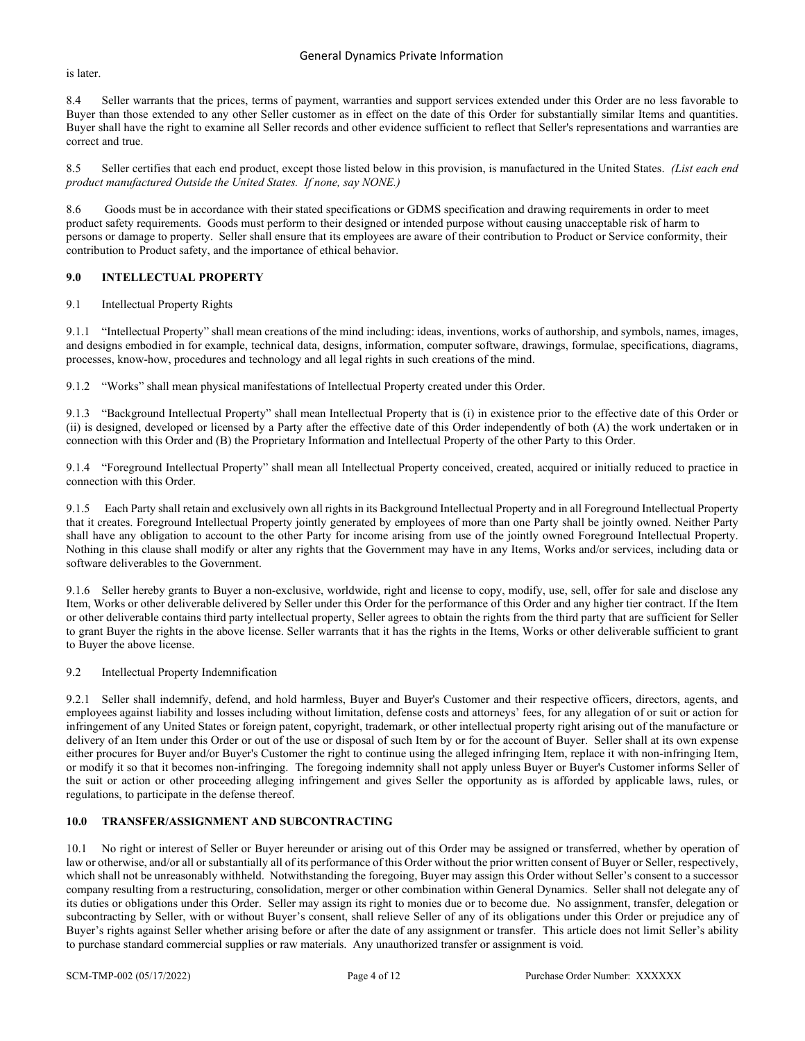is later.

8.4 Seller warrants that the prices, terms of payment, warranties and support services extended under this Order are no less favorable to Buyer than those extended to any other Seller customer as in effect on the date of this Order for substantially similar Items and quantities. Buyer shall have the right to examine all Seller records and other evidence sufficient to reflect that Seller's representations and warranties are correct and true.

8.5 Seller certifies that each end product, except those listed below in this provision, is manufactured in the United States. *(List each end product manufactured Outside the United States. If none, say NONE.)*

8.6 Goods must be in accordance with their stated specifications or GDMS specification and drawing requirements in order to meet product safety requirements. Goods must perform to their designed or intended purpose without causing unacceptable risk of harm to persons or damage to property. Seller shall ensure that its employees are aware of their contribution to Product or Service conformity, their contribution to Product safety, and the importance of ethical behavior.

## **9.0 INTELLECTUAL PROPERTY**

## 9.1 Intellectual Property Rights

9.1.1 "Intellectual Property" shall mean creations of the mind including: ideas, inventions, works of authorship, and symbols, names, images, and designs embodied in for example, technical data, designs, information, computer software, drawings, formulae, specifications, diagrams, processes, know-how, procedures and technology and all legal rights in such creations of the mind.

9.1.2 "Works" shall mean physical manifestations of Intellectual Property created under this Order.

9.1.3 "Background Intellectual Property" shall mean Intellectual Property that is (i) in existence prior to the effective date of this Order or (ii) is designed, developed or licensed by a Party after the effective date of this Order independently of both (A) the work undertaken or in connection with this Order and (B) the Proprietary Information and Intellectual Property of the other Party to this Order.

9.1.4 "Foreground Intellectual Property" shall mean all Intellectual Property conceived, created, acquired or initially reduced to practice in connection with this Order.

9.1.5 Each Party shall retain and exclusively own all rights in its Background Intellectual Property and in all Foreground Intellectual Property that it creates. Foreground Intellectual Property jointly generated by employees of more than one Party shall be jointly owned. Neither Party shall have any obligation to account to the other Party for income arising from use of the jointly owned Foreground Intellectual Property. Nothing in this clause shall modify or alter any rights that the Government may have in any Items, Works and/or services, including data or software deliverables to the Government.

9.1.6 Seller hereby grants to Buyer a non-exclusive, worldwide, right and license to copy, modify, use, sell, offer for sale and disclose any Item, Works or other deliverable delivered by Seller under this Order for the performance of this Order and any higher tier contract. If the Item or other deliverable contains third party intellectual property, Seller agrees to obtain the rights from the third party that are sufficient for Seller to grant Buyer the rights in the above license. Seller warrants that it has the rights in the Items, Works or other deliverable sufficient to grant to Buyer the above license.

## 9.2 Intellectual Property Indemnification

9.2.1 Seller shall indemnify, defend, and hold harmless, Buyer and Buyer's Customer and their respective officers, directors, agents, and employees against liability and losses including without limitation, defense costs and attorneys' fees, for any allegation of or suit or action for infringement of any United States or foreign patent, copyright, trademark, or other intellectual property right arising out of the manufacture or delivery of an Item under this Order or out of the use or disposal of such Item by or for the account of Buyer. Seller shall at its own expense either procures for Buyer and/or Buyer's Customer the right to continue using the alleged infringing Item, replace it with non-infringing Item, or modify it so that it becomes non-infringing. The foregoing indemnity shall not apply unless Buyer or Buyer's Customer informs Seller of the suit or action or other proceeding alleging infringement and gives Seller the opportunity as is afforded by applicable laws, rules, or regulations, to participate in the defense thereof.

## **10.0 TRANSFER/ASSIGNMENT AND SUBCONTRACTING**

10.1 No right or interest of Seller or Buyer hereunder or arising out of this Order may be assigned or transferred, whether by operation of law or otherwise, and/or all or substantially all of its performance of this Order without the prior written consent of Buyer or Seller, respectively, which shall not be unreasonably withheld. Notwithstanding the foregoing, Buyer may assign this Order without Seller's consent to a successor company resulting from a restructuring, consolidation, merger or other combination within General Dynamics. Seller shall not delegate any of its duties or obligations under this Order. Seller may assign its right to monies due or to become due. No assignment, transfer, delegation or subcontracting by Seller, with or without Buyer's consent, shall relieve Seller of any of its obligations under this Order or prejudice any of Buyer's rights against Seller whether arising before or after the date of any assignment or transfer. This article does not limit Seller's ability to purchase standard commercial supplies or raw materials. Any unauthorized transfer or assignment is void.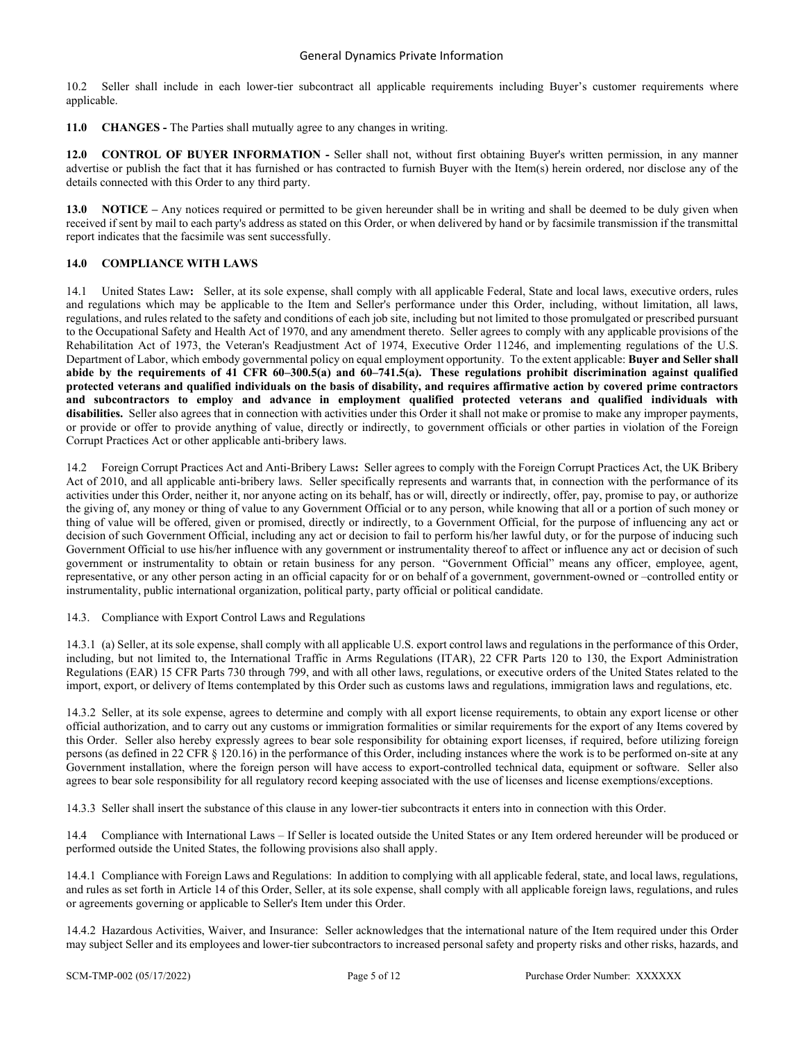10.2 Seller shall include in each lower-tier subcontract all applicable requirements including Buyer's customer requirements where applicable.

**11.0 CHANGES -** The Parties shall mutually agree to any changes in writing.

**12.0 CONTROL OF BUYER INFORMATION -** Seller shall not, without first obtaining Buyer's written permission, in any manner advertise or publish the fact that it has furnished or has contracted to furnish Buyer with the Item(s) herein ordered, nor disclose any of the details connected with this Order to any third party.

**13.0 NOTICE** – Any notices required or permitted to be given hereunder shall be in writing and shall be deemed to be duly given when received if sent by mail to each party's address as stated on this Order, or when delivered by hand or by facsimile transmission if the transmittal report indicates that the facsimile was sent successfully.

## **14.0 COMPLIANCE WITH LAWS**

14.1 United States Law**:** Seller, at its sole expense, shall comply with all applicable Federal, State and local laws, executive orders, rules and regulations which may be applicable to the Item and Seller's performance under this Order, including, without limitation, all laws, regulations, and rules related to the safety and conditions of each job site, including but not limited to those promulgated or prescribed pursuant to the Occupational Safety and Health Act of 1970, and any amendment thereto. Seller agrees to comply with any applicable provisions of the Rehabilitation Act of 1973, the Veteran's Readjustment Act of 1974, Executive Order 11246, and implementing regulations of the U.S. Department of Labor, which embody governmental policy on equal employment opportunity. To the extent applicable: **Buyer and Seller shall abide by the requirements of 41 CFR 60–300.5(a) and 60–741.5(a). These regulations prohibit discrimination against qualified protected veterans and qualified individuals on the basis of disability, and requires affirmative action by covered prime contractors and subcontractors to employ and advance in employment qualified protected veterans and qualified individuals with disabilities.** Seller also agrees that in connection with activities under this Order it shall not make or promise to make any improper payments, or provide or offer to provide anything of value, directly or indirectly, to government officials or other parties in violation of the Foreign Corrupt Practices Act or other applicable anti-bribery laws.

14.2 Foreign Corrupt Practices Act and Anti-Bribery Laws**:** Seller agrees to comply with the Foreign Corrupt Practices Act, the UK Bribery Act of 2010, and all applicable anti-bribery laws. Seller specifically represents and warrants that, in connection with the performance of its activities under this Order, neither it, nor anyone acting on its behalf, has or will, directly or indirectly, offer, pay, promise to pay, or authorize the giving of, any money or thing of value to any Government Official or to any person, while knowing that all or a portion of such money or thing of value will be offered, given or promised, directly or indirectly, to a Government Official, for the purpose of influencing any act or decision of such Government Official, including any act or decision to fail to perform his/her lawful duty, or for the purpose of inducing such Government Official to use his/her influence with any government or instrumentality thereof to affect or influence any act or decision of such government or instrumentality to obtain or retain business for any person. "Government Official" means any officer, employee, agent, representative, or any other person acting in an official capacity for or on behalf of a government, government-owned or –controlled entity or instrumentality, public international organization, political party, party official or political candidate.

## 14.3. Compliance with Export Control Laws and Regulations

14.3.1 (a) Seller, at its sole expense, shall comply with all applicable U.S. export control laws and regulations in the performance of this Order, including, but not limited to, the International Traffic in Arms Regulations (ITAR), 22 CFR Parts 120 to 130, the Export Administration Regulations (EAR) 15 CFR Parts 730 through 799, and with all other laws, regulations, or executive orders of the United States related to the import, export, or delivery of Items contemplated by this Order such as customs laws and regulations, immigration laws and regulations, etc.

14.3.2 Seller, at its sole expense, agrees to determine and comply with all export license requirements, to obtain any export license or other official authorization, and to carry out any customs or immigration formalities or similar requirements for the export of any Items covered by this Order. Seller also hereby expressly agrees to bear sole responsibility for obtaining export licenses, if required, before utilizing foreign persons (as defined in 22 CFR § 120.16) in the performance of this Order, including instances where the work is to be performed on-site at any Government installation, where the foreign person will have access to export-controlled technical data, equipment or software. Seller also agrees to bear sole responsibility for all regulatory record keeping associated with the use of licenses and license exemptions/exceptions.

14.3.3 Seller shall insert the substance of this clause in any lower-tier subcontracts it enters into in connection with this Order.

14.4 Compliance with International Laws – If Seller is located outside the United States or any Item ordered hereunder will be produced or performed outside the United States, the following provisions also shall apply.

14.4.1 Compliance with Foreign Laws and Regulations: In addition to complying with all applicable federal, state, and local laws, regulations, and rules as set forth in Article 14 of this Order, Seller, at its sole expense, shall comply with all applicable foreign laws, regulations, and rules or agreements governing or applicable to Seller's Item under this Order.

14.4.2 Hazardous Activities, Waiver, and Insurance: Seller acknowledges that the international nature of the Item required under this Order may subject Seller and its employees and lower-tier subcontractors to increased personal safety and property risks and other risks, hazards, and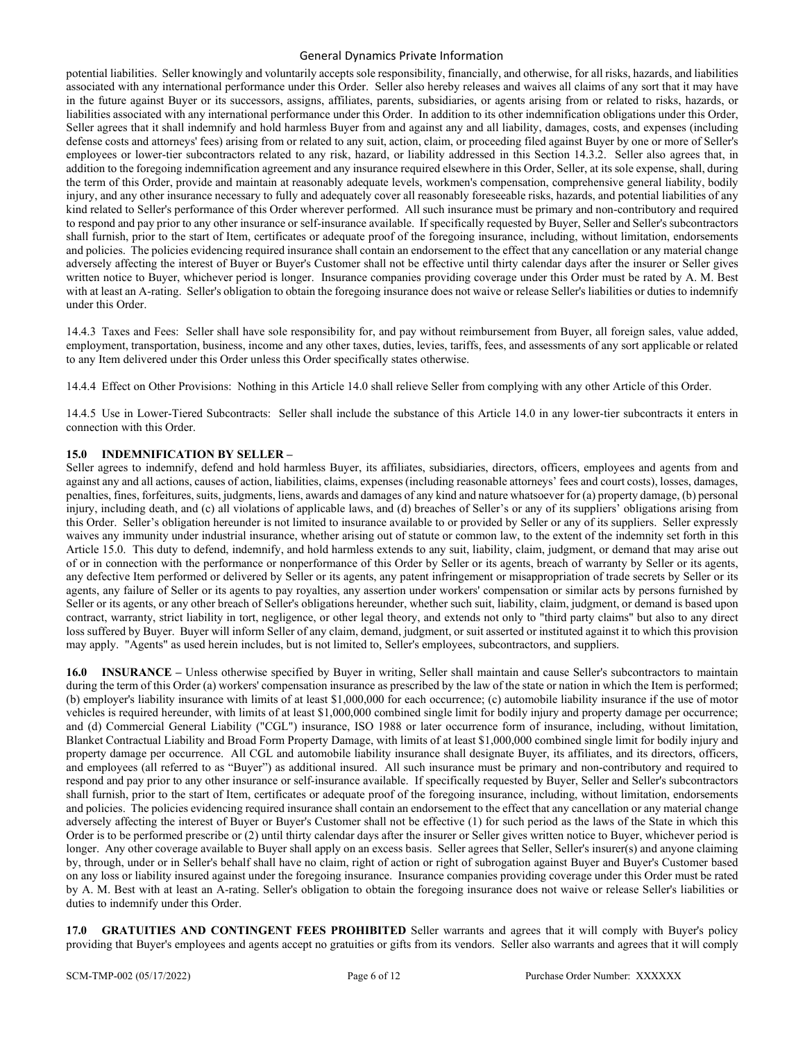potential liabilities. Seller knowingly and voluntarily accepts sole responsibility, financially, and otherwise, for all risks, hazards, and liabilities associated with any international performance under this Order. Seller also hereby releases and waives all claims of any sort that it may have in the future against Buyer or its successors, assigns, affiliates, parents, subsidiaries, or agents arising from or related to risks, hazards, or liabilities associated with any international performance under this Order. In addition to its other indemnification obligations under this Order, Seller agrees that it shall indemnify and hold harmless Buyer from and against any and all liability, damages, costs, and expenses (including defense costs and attorneys' fees) arising from or related to any suit, action, claim, or proceeding filed against Buyer by one or more of Seller's employees or lower-tier subcontractors related to any risk, hazard, or liability addressed in this Section 14.3.2. Seller also agrees that, in addition to the foregoing indemnification agreement and any insurance required elsewhere in this Order, Seller, at its sole expense, shall, during the term of this Order, provide and maintain at reasonably adequate levels, workmen's compensation, comprehensive general liability, bodily injury, and any other insurance necessary to fully and adequately cover all reasonably foreseeable risks, hazards, and potential liabilities of any kind related to Seller's performance of this Order wherever performed. All such insurance must be primary and non-contributory and required to respond and pay prior to any other insurance or self-insurance available. If specifically requested by Buyer, Seller and Seller's subcontractors shall furnish, prior to the start of Item, certificates or adequate proof of the foregoing insurance, including, without limitation, endorsements and policies. The policies evidencing required insurance shall contain an endorsement to the effect that any cancellation or any material change adversely affecting the interest of Buyer or Buyer's Customer shall not be effective until thirty calendar days after the insurer or Seller gives written notice to Buyer, whichever period is longer. Insurance companies providing coverage under this Order must be rated by A. M. Best with at least an A-rating. Seller's obligation to obtain the foregoing insurance does not waive or release Seller's liabilities or duties to indemnify under this Order.

14.4.3 Taxes and Fees: Seller shall have sole responsibility for, and pay without reimbursement from Buyer, all foreign sales, value added, employment, transportation, business, income and any other taxes, duties, levies, tariffs, fees, and assessments of any sort applicable or related to any Item delivered under this Order unless this Order specifically states otherwise.

14.4.4 Effect on Other Provisions: Nothing in this Article 14.0 shall relieve Seller from complying with any other Article of this Order.

14.4.5 Use in Lower-Tiered Subcontracts: Seller shall include the substance of this Article 14.0 in any lower-tier subcontracts it enters in connection with this Order.

## **15.0 INDEMNIFICATION BY SELLER –**

Seller agrees to indemnify, defend and hold harmless Buyer, its affiliates, subsidiaries, directors, officers, employees and agents from and against any and all actions, causes of action, liabilities, claims, expenses (including reasonable attorneys' fees and court costs), losses, damages, penalties, fines, forfeitures, suits, judgments, liens, awards and damages of any kind and nature whatsoever for (a) property damage, (b) personal injury, including death, and (c) all violations of applicable laws, and (d) breaches of Seller's or any of its suppliers' obligations arising from this Order. Seller's obligation hereunder is not limited to insurance available to or provided by Seller or any of its suppliers. Seller expressly waives any immunity under industrial insurance, whether arising out of statute or common law, to the extent of the indemnity set forth in this Article 15.0. This duty to defend, indemnify, and hold harmless extends to any suit, liability, claim, judgment, or demand that may arise out of or in connection with the performance or nonperformance of this Order by Seller or its agents, breach of warranty by Seller or its agents, any defective Item performed or delivered by Seller or its agents, any patent infringement or misappropriation of trade secrets by Seller or its agents, any failure of Seller or its agents to pay royalties, any assertion under workers' compensation or similar acts by persons furnished by Seller or its agents, or any other breach of Seller's obligations hereunder, whether such suit, liability, claim, judgment, or demand is based upon contract, warranty, strict liability in tort, negligence, or other legal theory, and extends not only to "third party claims" but also to any direct loss suffered by Buyer. Buyer will inform Seller of any claim, demand, judgment, or suit asserted or instituted against it to which this provision may apply. "Agents" as used herein includes, but is not limited to, Seller's employees, subcontractors, and suppliers.

**16.0 INSURANCE –** Unless otherwise specified by Buyer in writing, Seller shall maintain and cause Seller's subcontractors to maintain during the term of this Order (a) workers' compensation insurance as prescribed by the law of the state or nation in which the Item is performed; (b) employer's liability insurance with limits of at least \$1,000,000 for each occurrence; (c) automobile liability insurance if the use of motor vehicles is required hereunder, with limits of at least \$1,000,000 combined single limit for bodily injury and property damage per occurrence; and (d) Commercial General Liability ("CGL") insurance, ISO 1988 or later occurrence form of insurance, including, without limitation, Blanket Contractual Liability and Broad Form Property Damage, with limits of at least \$1,000,000 combined single limit for bodily injury and property damage per occurrence. All CGL and automobile liability insurance shall designate Buyer, its affiliates, and its directors, officers, and employees (all referred to as "Buyer") as additional insured. All such insurance must be primary and non-contributory and required to respond and pay prior to any other insurance or self-insurance available. If specifically requested by Buyer, Seller and Seller's subcontractors shall furnish, prior to the start of Item, certificates or adequate proof of the foregoing insurance, including, without limitation, endorsements and policies. The policies evidencing required insurance shall contain an endorsement to the effect that any cancellation or any material change adversely affecting the interest of Buyer or Buyer's Customer shall not be effective (1) for such period as the laws of the State in which this Order is to be performed prescribe or (2) until thirty calendar days after the insurer or Seller gives written notice to Buyer, whichever period is longer. Any other coverage available to Buyer shall apply on an excess basis. Seller agrees that Seller, Seller's insurer(s) and anyone claiming by, through, under or in Seller's behalf shall have no claim, right of action or right of subrogation against Buyer and Buyer's Customer based on any loss or liability insured against under the foregoing insurance. Insurance companies providing coverage under this Order must be rated by A. M. Best with at least an A-rating. Seller's obligation to obtain the foregoing insurance does not waive or release Seller's liabilities or duties to indemnify under this Order.

**17.0 GRATUITIES AND CONTINGENT FEES PROHIBITED** Seller warrants and agrees that it will comply with Buyer's policy providing that Buyer's employees and agents accept no gratuities or gifts from its vendors. Seller also warrants and agrees that it will comply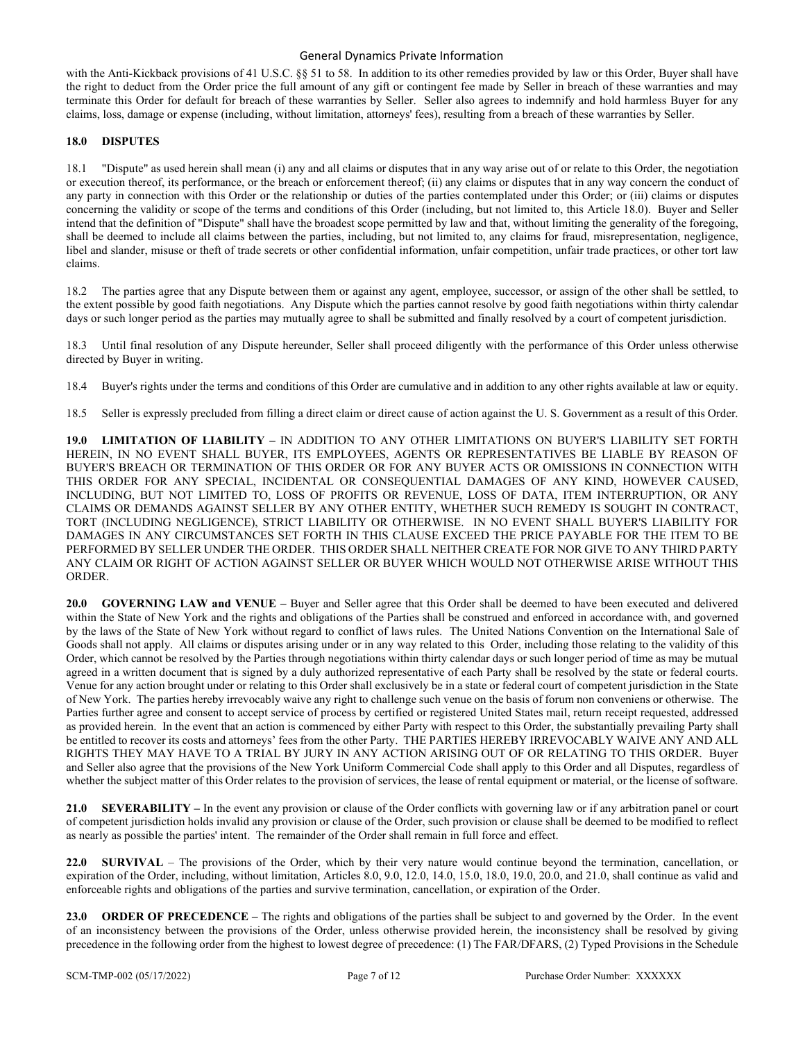with the Anti-Kickback provisions of 41 U.S.C. §§ 51 to 58. In addition to its other remedies provided by law or this Order, Buyer shall have the right to deduct from the Order price the full amount of any gift or contingent fee made by Seller in breach of these warranties and may terminate this Order for default for breach of these warranties by Seller. Seller also agrees to indemnify and hold harmless Buyer for any claims, loss, damage or expense (including, without limitation, attorneys' fees), resulting from a breach of these warranties by Seller.

#### **18.0 DISPUTES**

18.1 "Dispute" as used herein shall mean (i) any and all claims or disputes that in any way arise out of or relate to this Order, the negotiation or execution thereof, its performance, or the breach or enforcement thereof; (ii) any claims or disputes that in any way concern the conduct of any party in connection with this Order or the relationship or duties of the parties contemplated under this Order; or (iii) claims or disputes concerning the validity or scope of the terms and conditions of this Order (including, but not limited to, this Article 18.0). Buyer and Seller intend that the definition of "Dispute" shall have the broadest scope permitted by law and that, without limiting the generality of the foregoing, shall be deemed to include all claims between the parties, including, but not limited to, any claims for fraud, misrepresentation, negligence, libel and slander, misuse or theft of trade secrets or other confidential information, unfair competition, unfair trade practices, or other tort law claims.

18.2 The parties agree that any Dispute between them or against any agent, employee, successor, or assign of the other shall be settled, to the extent possible by good faith negotiations. Any Dispute which the parties cannot resolve by good faith negotiations within thirty calendar days or such longer period as the parties may mutually agree to shall be submitted and finally resolved by a court of competent jurisdiction.

18.3 Until final resolution of any Dispute hereunder, Seller shall proceed diligently with the performance of this Order unless otherwise directed by Buyer in writing.

18.4 Buyer's rights under the terms and conditions of this Order are cumulative and in addition to any other rights available at law or equity.

18.5 Seller is expressly precluded from filling a direct claim or direct cause of action against the U. S. Government as a result of this Order.

**19.0 LIMITATION OF LIABILITY –** IN ADDITION TO ANY OTHER LIMITATIONS ON BUYER'S LIABILITY SET FORTH HEREIN, IN NO EVENT SHALL BUYER, ITS EMPLOYEES, AGENTS OR REPRESENTATIVES BE LIABLE BY REASON OF BUYER'S BREACH OR TERMINATION OF THIS ORDER OR FOR ANY BUYER ACTS OR OMISSIONS IN CONNECTION WITH THIS ORDER FOR ANY SPECIAL, INCIDENTAL OR CONSEQUENTIAL DAMAGES OF ANY KIND, HOWEVER CAUSED, INCLUDING, BUT NOT LIMITED TO, LOSS OF PROFITS OR REVENUE, LOSS OF DATA, ITEM INTERRUPTION, OR ANY CLAIMS OR DEMANDS AGAINST SELLER BY ANY OTHER ENTITY, WHETHER SUCH REMEDY IS SOUGHT IN CONTRACT, TORT (INCLUDING NEGLIGENCE), STRICT LIABILITY OR OTHERWISE. IN NO EVENT SHALL BUYER'S LIABILITY FOR DAMAGES IN ANY CIRCUMSTANCES SET FORTH IN THIS CLAUSE EXCEED THE PRICE PAYABLE FOR THE ITEM TO BE PERFORMED BY SELLER UNDER THE ORDER. THIS ORDER SHALL NEITHER CREATE FOR NOR GIVE TO ANY THIRD PARTY ANY CLAIM OR RIGHT OF ACTION AGAINST SELLER OR BUYER WHICH WOULD NOT OTHERWISE ARISE WITHOUT THIS ORDER.

**20.0 GOVERNING LAW and VENUE –** Buyer and Seller agree that this Order shall be deemed to have been executed and delivered within the State of New York and the rights and obligations of the Parties shall be construed and enforced in accordance with, and governed by the laws of the State of New York without regard to conflict of laws rules. The United Nations Convention on the International Sale of Goods shall not apply. All claims or disputes arising under or in any way related to this Order, including those relating to the validity of this Order, which cannot be resolved by the Parties through negotiations within thirty calendar days or such longer period of time as may be mutual agreed in a written document that is signed by a duly authorized representative of each Party shall be resolved by the state or federal courts. Venue for any action brought under or relating to this Order shall exclusively be in a state or federal court of competent jurisdiction in the State of New York. The parties hereby irrevocably waive any right to challenge such venue on the basis of forum non conveniens or otherwise. The Parties further agree and consent to accept service of process by certified or registered United States mail, return receipt requested, addressed as provided herein. In the event that an action is commenced by either Party with respect to this Order, the substantially prevailing Party shall be entitled to recover its costs and attorneys' fees from the other Party. THE PARTIES HEREBY IRREVOCABLY WAIVE ANY AND ALL RIGHTS THEY MAY HAVE TO A TRIAL BY JURY IN ANY ACTION ARISING OUT OF OR RELATING TO THIS ORDER. Buyer and Seller also agree that the provisions of the New York Uniform Commercial Code shall apply to this Order and all Disputes, regardless of whether the subject matter of this Order relates to the provision of services, the lease of rental equipment or material, or the license of software.

**21.0 SEVERABILITY –** In the event any provision or clause of the Order conflicts with governing law or if any arbitration panel or court of competent jurisdiction holds invalid any provision or clause of the Order, such provision or clause shall be deemed to be modified to reflect as nearly as possible the parties' intent. The remainder of the Order shall remain in full force and effect.

**22.0 SURVIVAL** – The provisions of the Order, which by their very nature would continue beyond the termination, cancellation, or expiration of the Order, including, without limitation, Articles 8.0, 9.0, 12.0, 14.0, 15.0, 18.0, 19.0, 20.0, and 21.0, shall continue as valid and enforceable rights and obligations of the parties and survive termination, cancellation, or expiration of the Order.

**23.0 ORDER OF PRECEDENCE –** The rights and obligations of the parties shall be subject to and governed by the Order. In the event of an inconsistency between the provisions of the Order, unless otherwise provided herein, the inconsistency shall be resolved by giving precedence in the following order from the highest to lowest degree of precedence: (1) The FAR/DFARS, (2) Typed Provisions in the Schedule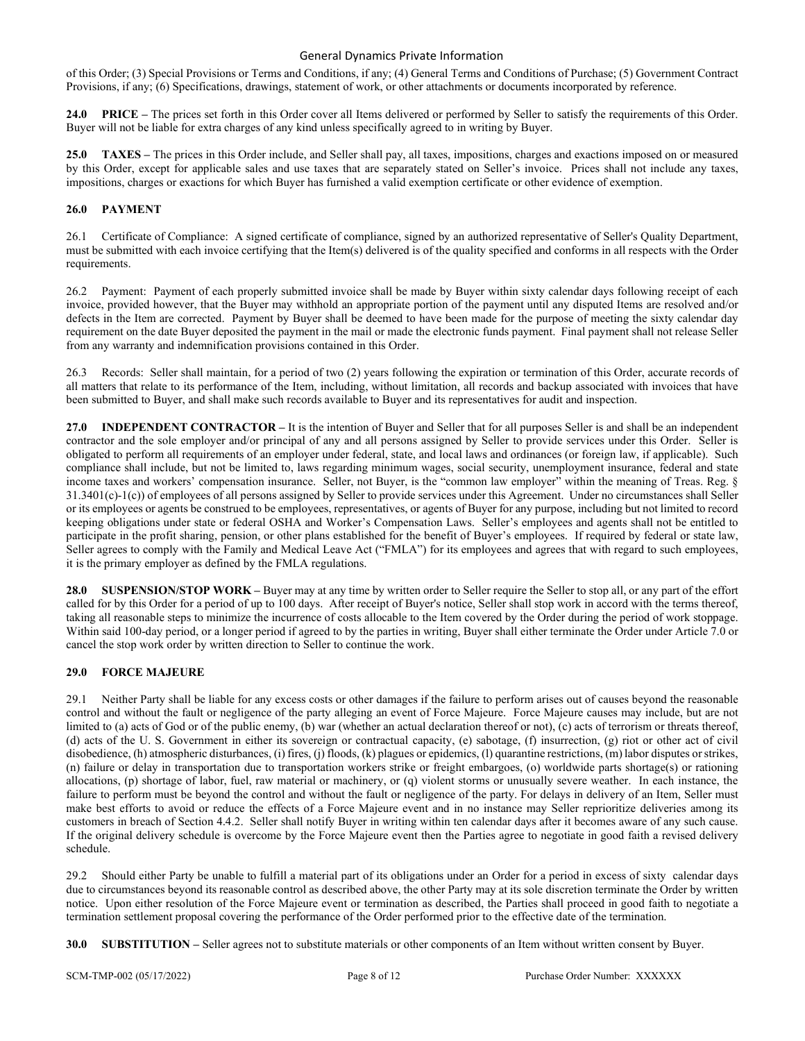of this Order; (3) Special Provisions or Terms and Conditions, if any; (4) General Terms and Conditions of Purchase; (5) Government Contract Provisions, if any; (6) Specifications, drawings, statement of work, or other attachments or documents incorporated by reference.

**24.0 PRICE –** The prices set forth in this Order cover all Items delivered or performed by Seller to satisfy the requirements of this Order. Buyer will not be liable for extra charges of any kind unless specifically agreed to in writing by Buyer.

**25.0 TAXES –** The prices in this Order include, and Seller shall pay, all taxes, impositions, charges and exactions imposed on or measured by this Order, except for applicable sales and use taxes that are separately stated on Seller's invoice. Prices shall not include any taxes, impositions, charges or exactions for which Buyer has furnished a valid exemption certificate or other evidence of exemption.

## **26.0 PAYMENT**

26.1 Certificate of Compliance: A signed certificate of compliance, signed by an authorized representative of Seller's Quality Department, must be submitted with each invoice certifying that the Item(s) delivered is of the quality specified and conforms in all respects with the Order requirements.

26.2 Payment: Payment of each properly submitted invoice shall be made by Buyer within sixty calendar days following receipt of each invoice, provided however, that the Buyer may withhold an appropriate portion of the payment until any disputed Items are resolved and/or defects in the Item are corrected. Payment by Buyer shall be deemed to have been made for the purpose of meeting the sixty calendar day requirement on the date Buyer deposited the payment in the mail or made the electronic funds payment. Final payment shall not release Seller from any warranty and indemnification provisions contained in this Order.

26.3 Records: Seller shall maintain, for a period of two (2) years following the expiration or termination of this Order, accurate records of all matters that relate to its performance of the Item, including, without limitation, all records and backup associated with invoices that have been submitted to Buyer, and shall make such records available to Buyer and its representatives for audit and inspection.

**27.0 INDEPENDENT CONTRACTOR –** It is the intention of Buyer and Seller that for all purposes Seller is and shall be an independent contractor and the sole employer and/or principal of any and all persons assigned by Seller to provide services under this Order. Seller is obligated to perform all requirements of an employer under federal, state, and local laws and ordinances (or foreign law, if applicable). Such compliance shall include, but not be limited to, laws regarding minimum wages, social security, unemployment insurance, federal and state income taxes and workers' compensation insurance. Seller, not Buyer, is the "common law employer" within the meaning of Treas. Reg. § 31.3401(c)-1(c)) of employees of all persons assigned by Seller to provide services under this Agreement. Under no circumstances shall Seller or its employees or agents be construed to be employees, representatives, or agents of Buyer for any purpose, including but not limited to record keeping obligations under state or federal OSHA and Worker's Compensation Laws. Seller's employees and agents shall not be entitled to participate in the profit sharing, pension, or other plans established for the benefit of Buyer's employees. If required by federal or state law, Seller agrees to comply with the Family and Medical Leave Act ("FMLA") for its employees and agrees that with regard to such employees, it is the primary employer as defined by the FMLA regulations.

**28.0 SUSPENSION/STOP WORK** – Buyer may at any time by written order to Seller require the Seller to stop all, or any part of the effort called for by this Order for a period of up to 100 days. After receipt of Buyer's notice, Seller shall stop work in accord with the terms thereof, taking all reasonable steps to minimize the incurrence of costs allocable to the Item covered by the Order during the period of work stoppage. Within said 100-day period, or a longer period if agreed to by the parties in writing, Buyer shall either terminate the Order under Article 7.0 or cancel the stop work order by written direction to Seller to continue the work.

# **29.0 FORCE MAJEURE**

29.1 Neither Party shall be liable for any excess costs or other damages if the failure to perform arises out of causes beyond the reasonable control and without the fault or negligence of the party alleging an event of Force Majeure. Force Majeure causes may include, but are not limited to (a) acts of God or of the public enemy, (b) war (whether an actual declaration thereof or not), (c) acts of terrorism or threats thereof, (d) acts of the U. S. Government in either its sovereign or contractual capacity, (e) sabotage, (f) insurrection, (g) riot or other act of civil disobedience, (h) atmospheric disturbances, (i) fires, (j) floods, (k) plagues or epidemics, (l) quarantine restrictions, (m) labor disputes or strikes, (n) failure or delay in transportation due to transportation workers strike or freight embargoes, (o) worldwide parts shortage(s) or rationing allocations, (p) shortage of labor, fuel, raw material or machinery, or (q) violent storms or unusually severe weather. In each instance, the failure to perform must be beyond the control and without the fault or negligence of the party. For delays in delivery of an Item, Seller must make best efforts to avoid or reduce the effects of a Force Majeure event and in no instance may Seller reprioritize deliveries among its customers in breach of Section 4.4.2. Seller shall notify Buyer in writing within ten calendar days after it becomes aware of any such cause. If the original delivery schedule is overcome by the Force Majeure event then the Parties agree to negotiate in good faith a revised delivery schedule.

29.2 Should either Party be unable to fulfill a material part of its obligations under an Order for a period in excess of sixty calendar days due to circumstances beyond its reasonable control as described above, the other Party may at its sole discretion terminate the Order by written notice. Upon either resolution of the Force Majeure event or termination as described, the Parties shall proceed in good faith to negotiate a termination settlement proposal covering the performance of the Order performed prior to the effective date of the termination.

**30.0 SUBSTITUTION –** Seller agrees not to substitute materials or other components of an Item without written consent by Buyer.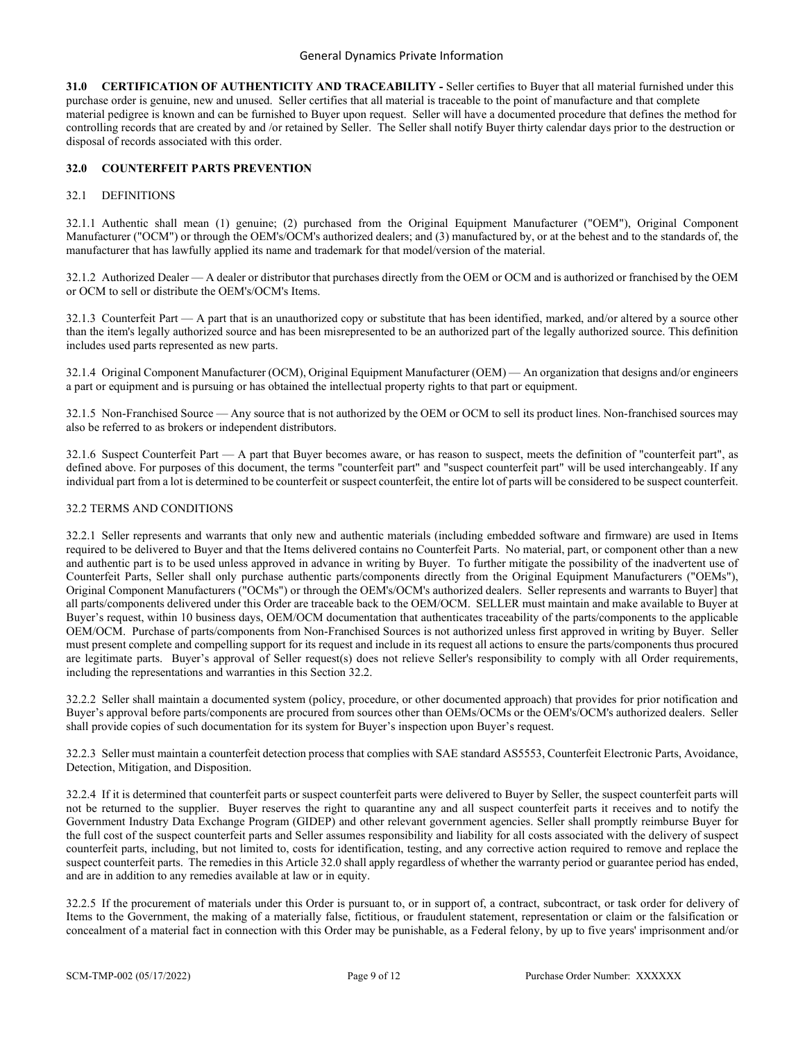**31.0 CERTIFICATION OF AUTHENTICITY AND TRACEABILITY -** Seller certifies to Buyer that all material furnished under this purchase order is genuine, new and unused. Seller certifies that all material is traceable to the point of manufacture and that complete material pedigree is known and can be furnished to Buyer upon request. Seller will have a documented procedure that defines the method for controlling records that are created by and /or retained by Seller. The Seller shall notify Buyer thirty calendar days prior to the destruction or disposal of records associated with this order.

# **32.0 COUNTERFEIT PARTS PREVENTION**

#### 32.1 DEFINITIONS

32.1.1 Authentic shall mean (1) genuine; (2) purchased from the Original Equipment Manufacturer ("OEM"), Original Component Manufacturer ("OCM") or through the OEM's/OCM's authorized dealers; and (3) manufactured by, or at the behest and to the standards of, the manufacturer that has lawfully applied its name and trademark for that model/version of the material.

32.1.2 Authorized Dealer — A dealer or distributor that purchases directly from the OEM or OCM and is authorized or franchised by the OEM or OCM to sell or distribute the OEM's/OCM's Items.

32.1.3 Counterfeit Part — A part that is an unauthorized copy or substitute that has been identified, marked, and/or altered by a source other than the item's legally authorized source and has been misrepresented to be an authorized part of the legally authorized source. This definition includes used parts represented as new parts.

32.1.4 Original Component Manufacturer (OCM), Original Equipment Manufacturer (OEM) — An organization that designs and/or engineers a part or equipment and is pursuing or has obtained the intellectual property rights to that part or equipment.

32.1.5 Non-Franchised Source — Any source that is not authorized by the OEM or OCM to sell its product lines. Non-franchised sources may also be referred to as brokers or independent distributors.

 $32.1.6$  Suspect Counterfeit Part  $-A$  part that Buyer becomes aware, or has reason to suspect, meets the definition of "counterfeit part", as defined above. For purposes of this document, the terms "counterfeit part" and "suspect counterfeit part" will be used interchangeably. If any individual part from a lot is determined to be counterfeit or suspect counterfeit, the entire lot of parts will be considered to be suspect counterfeit.

#### 32.2 TERMS AND CONDITIONS

32.2.1 Seller represents and warrants that only new and authentic materials (including embedded software and firmware) are used in Items required to be delivered to Buyer and that the Items delivered contains no Counterfeit Parts. No material, part, or component other than a new and authentic part is to be used unless approved in advance in writing by Buyer. To further mitigate the possibility of the inadvertent use of Counterfeit Parts, Seller shall only purchase authentic parts/components directly from the Original Equipment Manufacturers ("OEMs"), Original Component Manufacturers ("OCMs") or through the OEM's/OCM's authorized dealers. Seller represents and warrants to Buyer] that all parts/components delivered under this Order are traceable back to the OEM/OCM. SELLER must maintain and make available to Buyer at Buyer's request, within 10 business days, OEM/OCM documentation that authenticates traceability of the parts/components to the applicable OEM/OCM. Purchase of parts/components from Non-Franchised Sources is not authorized unless first approved in writing by Buyer. Seller must present complete and compelling support for its request and include in its request all actions to ensure the parts/components thus procured are legitimate parts. Buyer's approval of Seller request(s) does not relieve Seller's responsibility to comply with all Order requirements, including the representations and warranties in this Section 32.2.

32.2.2 Seller shall maintain a documented system (policy, procedure, or other documented approach) that provides for prior notification and Buyer's approval before parts/components are procured from sources other than OEMs/OCMs or the OEM's/OCM's authorized dealers. Seller shall provide copies of such documentation for its system for Buyer's inspection upon Buyer's request.

32.2.3 Seller must maintain a counterfeit detection process that complies with SAE standard AS5553, Counterfeit Electronic Parts, Avoidance, Detection, Mitigation, and Disposition.

32.2.4 If it is determined that counterfeit parts or suspect counterfeit parts were delivered to Buyer by Seller, the suspect counterfeit parts will not be returned to the supplier. Buyer reserves the right to quarantine any and all suspect counterfeit parts it receives and to notify the Government Industry Data Exchange Program (GIDEP) and other relevant government agencies. Seller shall promptly reimburse Buyer for the full cost of the suspect counterfeit parts and Seller assumes responsibility and liability for all costs associated with the delivery of suspect counterfeit parts, including, but not limited to, costs for identification, testing, and any corrective action required to remove and replace the suspect counterfeit parts. The remedies in this Article 32.0 shall apply regardless of whether the warranty period or guarantee period has ended, and are in addition to any remedies available at law or in equity.

32.2.5 If the procurement of materials under this Order is pursuant to, or in support of, a contract, subcontract, or task order for delivery of Items to the Government, the making of a materially false, fictitious, or fraudulent statement, representation or claim or the falsification or concealment of a material fact in connection with this Order may be punishable, as a Federal felony, by up to five years' imprisonment and/or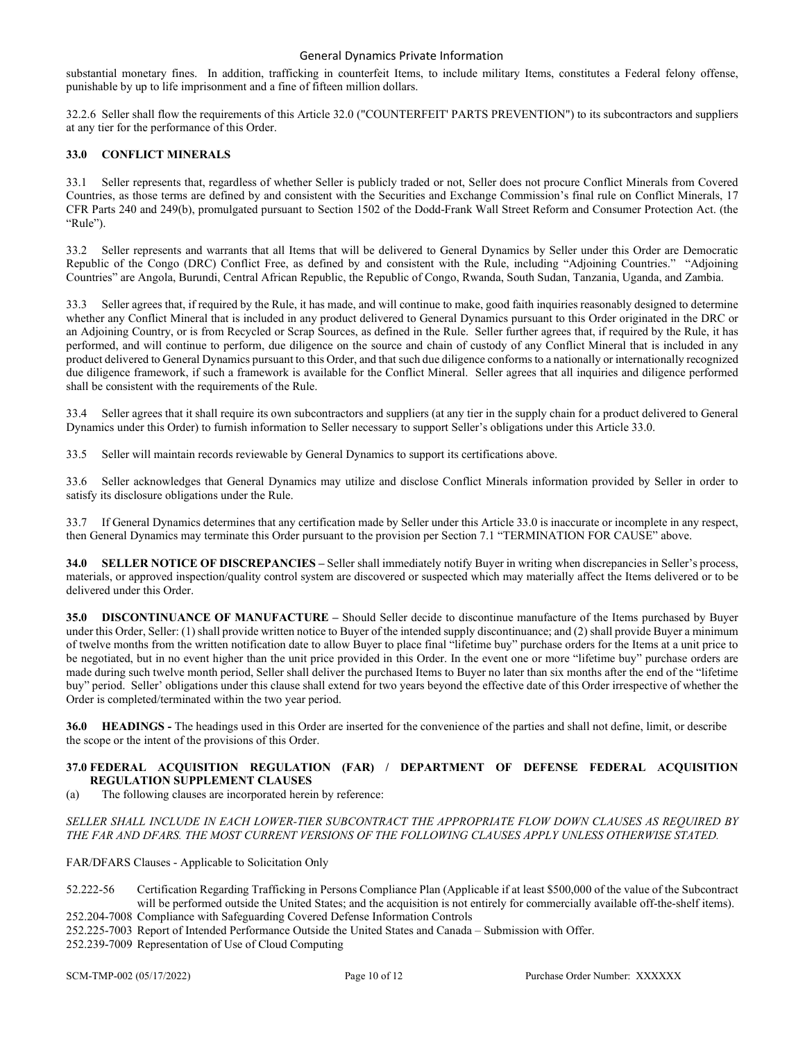substantial monetary fines. In addition, trafficking in counterfeit Items, to include military Items, constitutes a Federal felony offense, punishable by up to life imprisonment and a fine of fifteen million dollars.

32.2.6 Seller shall flow the requirements of this Article 32.0 ("COUNTERFEIT' PARTS PREVENTION") to its subcontractors and suppliers at any tier for the performance of this Order.

## **33.0 CONFLICT MINERALS**

33.1 Seller represents that, regardless of whether Seller is publicly traded or not, Seller does not procure Conflict Minerals from Covered Countries, as those terms are defined by and consistent with the Securities and Exchange Commission's final rule on Conflict Minerals, 17 CFR Parts 240 and 249(b), promulgated pursuant to Section 1502 of the Dodd-Frank Wall Street Reform and Consumer Protection Act. (the "Rule").

33.2 Seller represents and warrants that all Items that will be delivered to General Dynamics by Seller under this Order are Democratic Republic of the Congo (DRC) Conflict Free, as defined by and consistent with the Rule, including "Adjoining Countries." "Adjoining Countries" are Angola, Burundi, Central African Republic, the Republic of Congo, Rwanda, South Sudan, Tanzania, Uganda, and Zambia.

33.3 Seller agrees that, if required by the Rule, it has made, and will continue to make, good faith inquiries reasonably designed to determine whether any Conflict Mineral that is included in any product delivered to General Dynamics pursuant to this Order originated in the DRC or an Adjoining Country, or is from Recycled or Scrap Sources, as defined in the Rule. Seller further agrees that, if required by the Rule, it has performed, and will continue to perform, due diligence on the source and chain of custody of any Conflict Mineral that is included in any product delivered to General Dynamics pursuant to this Order, and that such due diligence conforms to a nationally or internationally recognized due diligence framework, if such a framework is available for the Conflict Mineral. Seller agrees that all inquiries and diligence performed shall be consistent with the requirements of the Rule.

33.4 Seller agrees that it shall require its own subcontractors and suppliers (at any tier in the supply chain for a product delivered to General Dynamics under this Order) to furnish information to Seller necessary to support Seller's obligations under this Article 33.0.

33.5 Seller will maintain records reviewable by General Dynamics to support its certifications above.

33.6 Seller acknowledges that General Dynamics may utilize and disclose Conflict Minerals information provided by Seller in order to satisfy its disclosure obligations under the Rule.

33.7 If General Dynamics determines that any certification made by Seller under this Article 33.0 is inaccurate or incomplete in any respect, then General Dynamics may terminate this Order pursuant to the provision per Section 7.1 "TERMINATION FOR CAUSE" above.

**34.0 SELLER NOTICE OF DISCREPANCIES –** Seller shall immediately notify Buyer in writing when discrepancies in Seller's process, materials, or approved inspection/quality control system are discovered or suspected which may materially affect the Items delivered or to be delivered under this Order.

**35.0 DISCONTINUANCE OF MANUFACTURE –** Should Seller decide to discontinue manufacture of the Items purchased by Buyer under this Order, Seller: (1) shall provide written notice to Buyer of the intended supply discontinuance; and (2) shall provide Buyer a minimum of twelve months from the written notification date to allow Buyer to place final "lifetime buy" purchase orders for the Items at a unit price to be negotiated, but in no event higher than the unit price provided in this Order. In the event one or more "lifetime buy" purchase orders are made during such twelve month period, Seller shall deliver the purchased Items to Buyer no later than six months after the end of the "lifetime buy" period. Seller' obligations under this clause shall extend for two years beyond the effective date of this Order irrespective of whether the Order is completed/terminated within the two year period.

**36.0 HEADINGS -** The headings used in this Order are inserted for the convenience of the parties and shall not define, limit, or describe the scope or the intent of the provisions of this Order.

## **37.0 FEDERAL ACQUISITION REGULATION (FAR) / DEPARTMENT OF DEFENSE FEDERAL ACQUISITION REGULATION SUPPLEMENT CLAUSES**

(a) The following clauses are incorporated herein by reference:

## *SELLER SHALL INCLUDE IN EACH LOWER-TIER SUBCONTRACT THE APPROPRIATE FLOW DOWN CLAUSES AS REQUIRED BY THE FAR AND DFARS. THE MOST CURRENT VERSIONS OF THE FOLLOWING CLAUSES APPLY UNLESS OTHERWISE STATED.*

FAR/DFARS Clauses - Applicable to Solicitation Only

- 52.222-56 Certification Regarding Trafficking in Persons Compliance Plan (Applicable if at least \$500,000 of the value of the Subcontract will be performed outside the United States; and the acquisition is not entirely for commercially available off-the-shelf items). 252.204-7008 Compliance with Safeguarding Covered Defense Information Controls
- 252.225-7003 Report of Intended Performance Outside the United States and Canada Submission with Offer.

252.239-7009 Representation of Use of Cloud Computing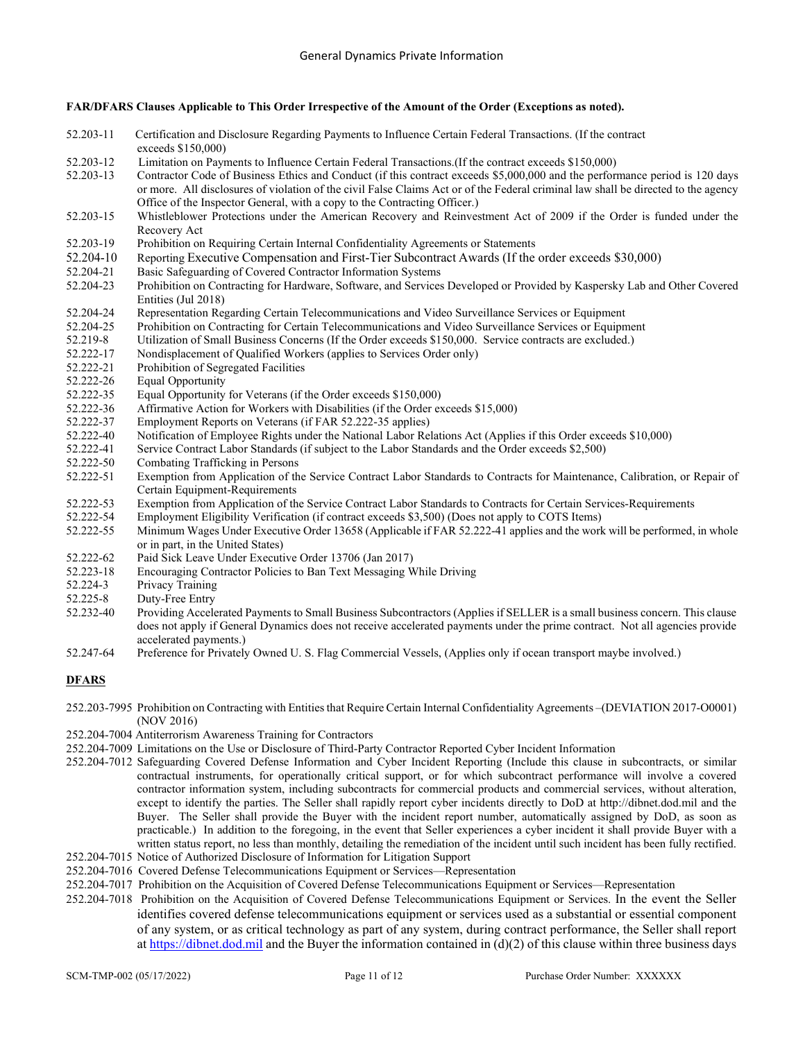#### **FAR/DFARS Clauses Applicable to This Order Irrespective of the Amount of the Order (Exceptions as noted).**

- 52.203-11 Certification and Disclosure Regarding Payments to Influence Certain Federal Transactions. (If the contract exceeds \$150,000) 52.203-12 Limitation on Payments to Influence Certain Federal Transactions. (If the contract exceeds \$150,000) 52.203-13 Contractor Code of Business Ethics and Conduct (if this contract exceeds \$5.000.000 and the perform 52.203-13 Contractor Code of Business Ethics and Conduct (if this contract exceeds \$5,000,000 and the performance period is 120 days or more. All disclosures of violation of the civil False Claims Act or of the Federal criminal law shall be directed to the agency Office of the Inspector General, with a copy to the Contracting Officer.) 52.203-15 Whistleblower Protections under the American Recovery and Reinvestment Act of 2009 if the Order is funded under the Recovery Act 52.203-19 Prohibition on Requiring Certain Internal Confidentiality Agreements or Statements 52.204-10 Reporting Executive Compensation and First-Tier Subcontract Awards (If the order exceeds \$30,000)<br>52.204-21 Basic Safeguarding of Covered Contractor Information Systems Basic Safeguarding of Covered Contractor Information Systems 52.204-23 Prohibition on Contracting for Hardware, Software, and Services Developed or Provided by Kaspersky Lab and Other Covered Entities (Jul 2018) 52.204-24 Representation Regarding Certain Telecommunications and Video Surveillance Services or Equipment 52.204-25 Prohibition on Contracting for Certain Telecommunications and Video Surveillance Services or Equipment<br>52.219-8 Utilization of Small Business Concerns (If the Order exceeds \$150.000. Service contracts are exclude Utilization of Small Business Concerns (If the Order exceeds \$150,000. Service contracts are excluded.) 52.222-17 Nondisplacement of Qualified Workers (applies to Services Order only) 52.222-21 Prohibition of Segregated Facilities 52.222-26 Equal Opportunity 52.222-35 Equal Opportunity for Veterans (if the Order exceeds \$150,000) 52.222-36 Affirmative Action for Workers with Disabilities (if the Order exceeds \$15,000) 52.222-37 Employment Reports on Veterans (if FAR 52.222-35 applies)<br>52.222-40 Notification of Employee Rights under the National Labor Rel 52.222-40 Notification of Employee Rights under the National Labor Relations Act (Applies if this Order exceeds \$10,000)<br>52.222-41 Service Contract Labor Standards (if subject to the Labor Standards and the Order exceeds \$ 52.222-41 Service Contract Labor Standards (if subject to the Labor Standards and the Order exceeds \$2,500)<br>52.222-50 Combating Trafficking in Persons 52.222-50 Combating Trafficking in Persons<br>52.222-51 Exemption from Application of th Exemption from Application of the Service Contract Labor Standards to Contracts for Maintenance, Calibration, or Repair of Certain Equipment-Requirements 52.222-53 Exemption from Application of the Service Contract Labor Standards to Contracts for Certain Services-Requirements 52.222-54 Employment Eligibility Verification (if contract exceeds \$3,500) (Does not apply to COTS Items) 52.222-55 Minimum Wages Under Executive Order 13658 (Applicable if FAR 52.222-41 applies and the work will be performed, in whole or in part, in the United States) [52.222-62](https://www.acquisition.gov/content/52222-62-paid-sick-leave-under-executive-order-13706#i52_222_62) Paid Sick Leave Under Executive Order 13706 (Jan 2017) 52.223-18 Encouraging Contractor Policies to Ban Text Messaging While Driving
- 52.224-3 Privacy Training<br>52.225-8 Dutv-Free Entry
- 52.225-8 Duty-Free Entry<br>52.232-40 Providing Accele Providing Accelerated Payments to Small Business Subcontractors (Applies if SELLER is a small business concern. This clause does not apply if General Dynamics does not receive accelerated payments under the prime contract. Not all agencies provide accelerated payments.)
- 52.247-64 Preference for Privately Owned U. S. Flag Commercial Vessels, (Applies only if ocean transport maybe involved.)

## **DFARS**

- 252.203-7995 Prohibition on Contracting with Entities that Require Certain Internal Confidentiality Agreements –(DEVIATION 2017-O0001) (NOV 2016)
- 252.204-7004 Antiterrorism Awareness Training for Contractors
- 252.204-7009 Limitations on the Use or Disclosure of Third-Party Contractor Reported Cyber Incident Information
- 252.204-7012 Safeguarding Covered Defense Information and Cyber Incident Reporting (Include this clause in subcontracts, or similar contractual instruments, for operationally critical support, or for which subcontract performance will involve a covered contractor information system, including subcontracts for commercial products and commercial services, without alteration, except to identify the parties. The Seller shall rapidly report cyber incidents directly to DoD at http://dibnet.dod.mil and the Buyer. The Seller shall provide the Buyer with the incident report number, automatically assigned by DoD, as soon as practicable.) In addition to the foregoing, in the event that Seller experiences a cyber incident it shall provide Buyer with a written status report, no less than monthly, detailing the remediation of the incident until such incident has been fully rectified.
- 252.204-7015 Notice of Authorized Disclosure of Information for Litigation Support 252.204-7016 Covered Defense Telecommunications Equipment or Services—Representation
- 252.204-7017 Prohibition on the Acquisition of Covered Defense Telecommunications Equipment or Services—Representation
- 252.204-7018 Prohibition on the Acquisition of Covered Defense Telecommunications Equipment or Services. In the event the Seller identifies covered defense telecommunications equipment or services used as a substantial or essential component of any system, or as critical technology as part of any system, during contract performance, the Seller shall report at [https://dibnet.dod.mil](https://dibnet.dod.mil/) and the Buyer the information contained in  $(d)(2)$  of this clause within three business days